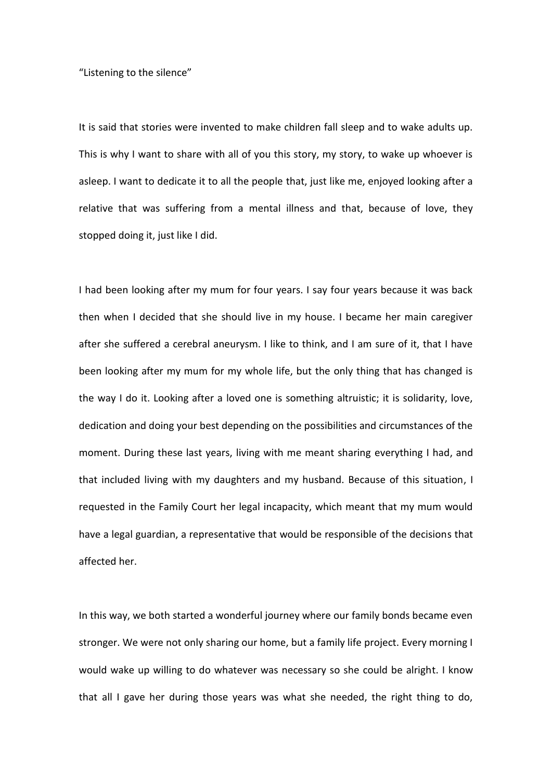"Listening to the silence"

It is said that stories were invented to make children fall sleep and to wake adults up. This is why I want to share with all of you this story, my story, to wake up whoever is asleep. I want to dedicate it to all the people that, just like me, enjoyed looking after a relative that was suffering from a mental illness and that, because of love, they stopped doing it, just like I did.

I had been looking after my mum for four years. I say four years because it was back then when I decided that she should live in my house. I became her main caregiver after she suffered a cerebral aneurysm. I like to think, and I am sure of it, that I have been looking after my mum for my whole life, but the only thing that has changed is the way I do it. Looking after a loved one is something altruistic; it is solidarity, love, dedication and doing your best depending on the possibilities and circumstances of the moment. During these last years, living with me meant sharing everything I had, and that included living with my daughters and my husband. Because of this situation, I requested in the Family Court her legal incapacity, which meant that my mum would have a legal guardian, a representative that would be responsible of the decisions that affected her.

In this way, we both started a wonderful journey where our family bonds became even stronger. We were not only sharing our home, but a family life project. Every morning I would wake up willing to do whatever was necessary so she could be alright. I know that all I gave her during those years was what she needed, the right thing to do,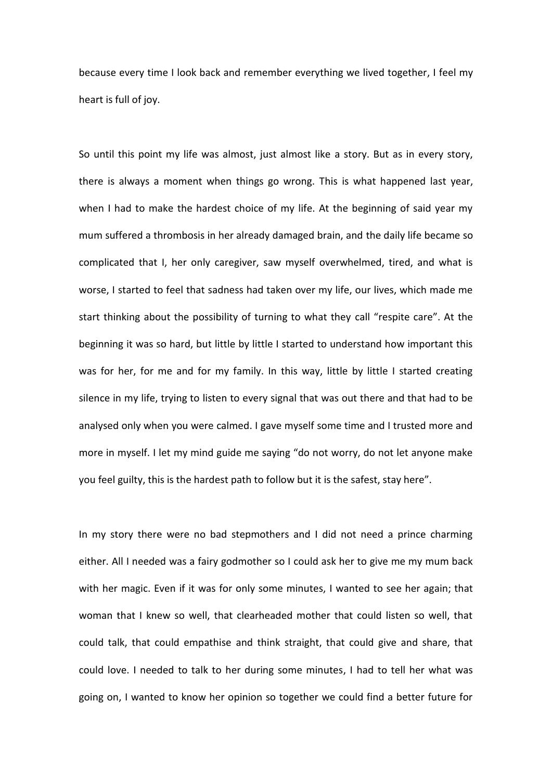because every time I look back and remember everything we lived together, I feel my heart is full of joy.

So until this point my life was almost, just almost like a story. But as in every story, there is always a moment when things go wrong. This is what happened last year, when I had to make the hardest choice of my life. At the beginning of said year my mum suffered a thrombosis in her already damaged brain, and the daily life became so complicated that I, her only caregiver, saw myself overwhelmed, tired, and what is worse, I started to feel that sadness had taken over my life, our lives, which made me start thinking about the possibility of turning to what they call "respite care". At the beginning it was so hard, but little by little I started to understand how important this was for her, for me and for my family. In this way, little by little I started creating silence in my life, trying to listen to every signal that was out there and that had to be analysed only when you were calmed. I gave myself some time and I trusted more and more in myself. I let my mind guide me saying "do not worry, do not let anyone make you feel guilty, this is the hardest path to follow but it is the safest, stay here".

In my story there were no bad stepmothers and I did not need a prince charming either. All I needed was a fairy godmother so I could ask her to give me my mum back with her magic. Even if it was for only some minutes, I wanted to see her again; that woman that I knew so well, that clearheaded mother that could listen so well, that could talk, that could empathise and think straight, that could give and share, that could love. I needed to talk to her during some minutes, I had to tell her what was going on, I wanted to know her opinion so together we could find a better future for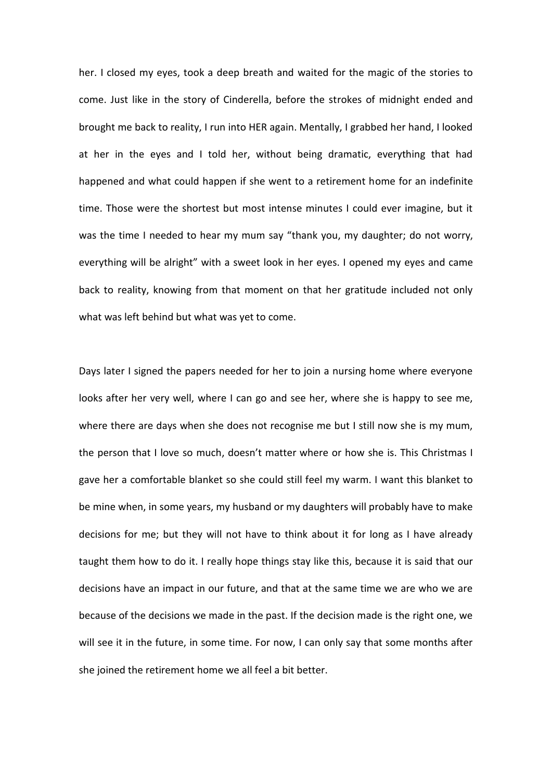her. I closed my eyes, took a deep breath and waited for the magic of the stories to come. Just like in the story of Cinderella, before the strokes of midnight ended and brought me back to reality, I run into HER again. Mentally, I grabbed her hand, I looked at her in the eyes and I told her, without being dramatic, everything that had happened and what could happen if she went to a retirement home for an indefinite time. Those were the shortest but most intense minutes I could ever imagine, but it was the time I needed to hear my mum say "thank you, my daughter; do not worry, everything will be alright" with a sweet look in her eyes. I opened my eyes and came back to reality, knowing from that moment on that her gratitude included not only what was left behind but what was yet to come.

Days later I signed the papers needed for her to join a nursing home where everyone looks after her very well, where I can go and see her, where she is happy to see me, where there are days when she does not recognise me but I still now she is my mum, the person that I love so much, doesn't matter where or how she is. This Christmas I gave her a comfortable blanket so she could still feel my warm. I want this blanket to be mine when, in some years, my husband or my daughters will probably have to make decisions for me; but they will not have to think about it for long as I have already taught them how to do it. I really hope things stay like this, because it is said that our decisions have an impact in our future, and that at the same time we are who we are because of the decisions we made in the past. If the decision made is the right one, we will see it in the future, in some time. For now, I can only say that some months after she joined the retirement home we all feel a bit better.